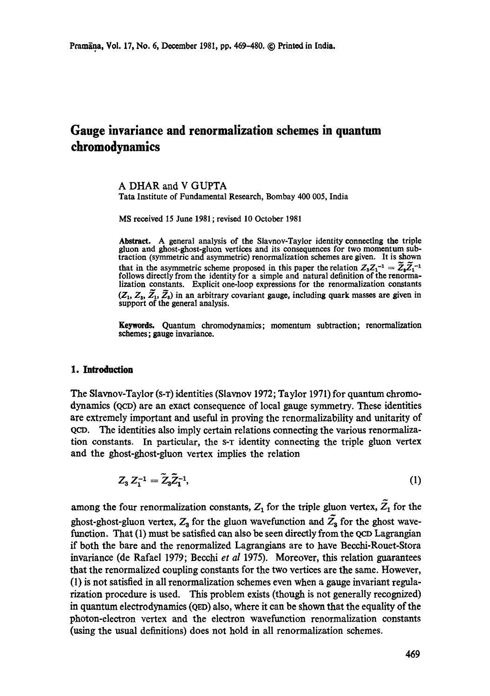# **Gauge invariance and renormalization schemes in quantum chromodynamics**

A DHAR and V GUPTA

**Tata** Institute of Fundamental Research, Bombay 400 005, India

MS received 15 June 1981 ; revised 10 October 1981

Abstract. A general analysis of the Slavnov-Taylor identity connecting the triple gluon and ghost-ghost-gluon vertices and its consequences for two momentum subtraction (symmetric and asymmetric) renormalization schemes are given. It is shown that in the asymmetric scheme proposed in this paper the relation  $Z_3 Z_1^{-1} = Z_3 Z_1^{-1}$ follows directly from the identity for a simple and natural definition of the renormalization constants. Explicit one-loop expressions for the renormalization constants  $(Z_1, Z_3, \tilde{Z_1}, \tilde{Z_3})$  in an arbitrary covariant gauge, including quark masses are given in support **of the** general analysis.

Keywords. Quantum chromodynamics; momentum subtraction; rcnormalization schemes; gauge invariance.

### **1. Introduction**

The Slavnov-Taylor (s-T) identities (Slavnov 1972; Taylor 1971) for quantum chromodynamics (QcD) are an exact consequence of local gauge symmetry. These identities are extremely important and useful in proving the renormalizability and unitarity of QCD. The identities also imply certain relations connecting the various renormalization constants. In particular, the s-T identity connecting the triple gluon vertex and the ghost-ghost-gluon vertex implies the relation

$$
Z_3 Z_1^{-1} = \tilde{Z}_3 \tilde{Z}_1^{-1}, \tag{1}
$$

among the four renormalization constants,  $Z_1$  for the triple gluon vertex,  $\tilde{Z_1}$  for the ghost-ghost-gluon vertex,  $Z_3$  for the gluon wavefunction and  $\tilde{Z_3}$  for the ghost wavefunction. That (1) must be satisfied can also be seen directly from the QCD Lagrangian if both the bare and the renormalized Lagrangians are to have Becchi-Rouet-Stora invariance (de Rafael 1979; Becchi *et al* 1975). Moreover, this relation guarantees that the renormalized coupling constants for the two vertices are the same. However, (1) is not satisfied in all renormalization schemes even when a gauge invariant regnlarization procedure is used. This problem exists (though is not generally recognized) in quantum electrodynamics (QED) also, where it can be shown that the equality of the photon-electron vertex and the electron wavefunction renormalization constants (using the usual definitions) does not hold in all renormalization schemes.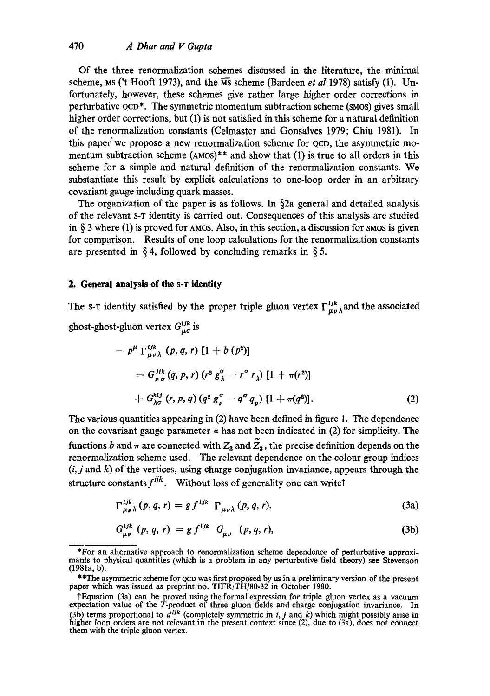Of the three renormalization schemes discussed in the literature, the minimal scheme, Ms ('t Hooft 1973), and the  $\overline{MS}$  scheme (Bardeen *et al* 1978) satisfy (1). Unfortunately, however, these schemes give rather large higher order corrections in perturbative QCO\*. The symmetric momentum subtraction scheme (SMOS) gives small higher order corrections, but (1) is not satisfied in this scheme for a natural definition of the renormalization constants (Celmaster and Gonsalves 1979; Chiu 1981). In this paper we propose a new renormalization scheme for QCD, the asymmetric momentum subtraction scheme  $(AMOS)**$  and show that  $(1)$  is true to all orders in this scheme for a simple and natural definition of the renormalization constants. We substantiate this result by explicit calculations to one-loop order in an arbitrary covariant gauge including quark masses.

The organization of the paper is as follows. In §2a general and detailed analysis of the relevant s-r identity is carried out. Consequences of this analysis are studied in  $\S$  3 where (1) is proved for AMOS. Also, in this section, a discussion for smos is given for comparison. Results of one loop calculations for the renormalization constants are presented in § 4, followed by concluding remarks in § 5.

# **2. General analysis of the S-T identity**

The s-r identity satisfied by the proper triple gluon vertex  $\Gamma_{\mu\nu\lambda}^{ijk}$  and the associated ghost-ghost-gluon vertex  $G^{ijk}_{\mu\sigma}$  is

$$
- p^{\mu} \Gamma_{\mu\nu\lambda}^{ijk} (p, q, r) [1 + b (p^{2})] = G_{\nu\sigma}^{jik} (q, p, r) (r^{2} g^{\sigma}_{\lambda} - r^{\sigma} r_{\lambda}) [1 + \pi(r^{2})] + G_{\lambda\sigma}^{kij} (r, p, q) (q^{2} g^{\sigma}_{\nu} - q^{\sigma} q_{\nu}) [1 + \pi(q^{2})].
$$
 (2)

The various quantities appearing in (2) have been defined in figure 1. The dependence on the covariant gauge parameter  $a$  has not been indicated in (2) for simplicity. The functions b and  $\pi$  are connected with  $Z_3$  and  $Z_3$ , the precise definition depends on the renormalization scheme used. The relevant dependence on the colour group indices  $(i, j \text{ and } k)$  of the vertices, using charge conjugation invariance, appears through the structure constants  $f^{ijk}$ . Without loss of generality one can write

$$
\Gamma_{\mu\nu\lambda}^{ijk}(p,q,r) = gf^{ijk} \Gamma_{\mu\nu\lambda}(p,q,r), \qquad (3a)
$$

$$
G_{\mu\nu}^{ijk} (p, q, r) = g f^{ijk} G_{\mu\nu} (p, q, r), \qquad (3b)
$$

<sup>\*</sup>For an alternative approach to renormalization scheme dependence of perturbative approximants to physical quantities (which is a problem in any perturbative field theory) see Stevenson (1981a, b).

<sup>\*\*</sup> The asymmetric scheme for QCD was first proposed by us in a preliminary version of the present paper which was issued as preprint no. TIFR/TH/80-32 in October 1980.

<sup>1&</sup>quot;Equation (3a) can be proved using the formal expression for triple gluon vertex as a vacuum expectation value of the  $\overline{T}$ -product of three gluon fields and charge conjugation invariance. In (3b) terms proportional to  $d^{ijk}$  (completely symmetric in i, j and k) which might possibly arise in higher loop orders are not relevant in the present context since (2), due to (3a), does not connect them with the triple gluon vertex.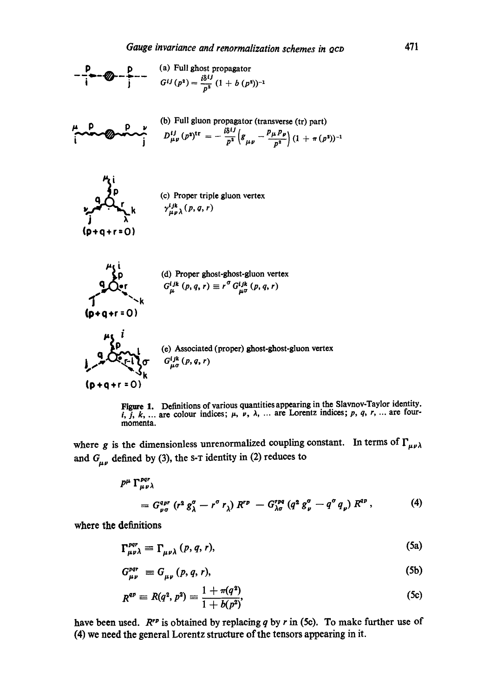



where g is the dimensionless unrenormalized coupling constant. In terms of  $\Gamma_{\mu\nu\lambda}$ and  $G_{\mu\nu}$  defined by (3), the s-T identity in (2) reduces to

$$
p^{\mu} \Gamma_{\mu\nu\lambda}^{pqr}
$$
  
=  $G_{\nu\sigma}^{qpr} (r^2 g^{\sigma}_{\lambda} - r^{\sigma} r_{\lambda}) R^{rp} - G_{\lambda\sigma}^{rpq} (q^2 g^{\sigma}_{\nu} - q^{\sigma} q_{\nu}) R^{qp}$ , (4)

where the definitions

$$
\Gamma_{\mu\nu\lambda}^{pqr} \equiv \Gamma_{\mu\nu\lambda} (p, q, r), \tag{5a}
$$

$$
G_{\mu\nu}^{\rho q r} \equiv G_{\mu\nu} (p, q, r), \tag{5b}
$$

$$
R^{qp} \equiv R(q^2, p^2) \equiv \frac{1 + \pi(q^2)}{1 + b(p^2)},
$$
\n(5c)

have been used.  $R^{rp}$  is obtained by replacing q by r in (5c). To make further use of (4) we need the general Lorcntz structure of the tensors appearing in it.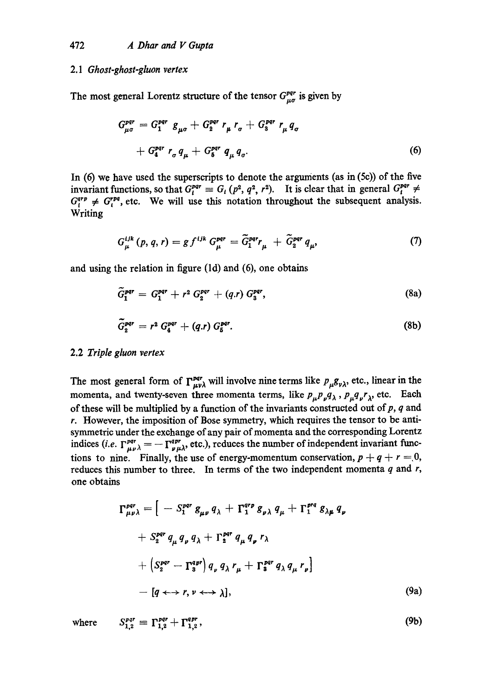### 2.1 *Ghost-ghost-gluon vertex*

The most general Lorentz structure of the tensor  $G_{\mu\sigma}^{pqr}$  is given by

$$
G_{\mu\sigma}^{pqr} = G_1^{pqr} g_{\mu\sigma} + G_2^{pqr} r_{\mu} r_{\sigma} + G_3^{pqr} r_{\mu} q_{\sigma}
$$
  
+ 
$$
G_4^{pqr} r_{\sigma} q_{\mu} + G_5^{pqr} q_{\mu} q_{\sigma}.
$$
 (6)

In  $(6)$  we have used the superscripts to denote the arguments (as in  $(5c)$ ) of the five invariant functions, so that  $G^{part}_i \equiv G_i (p^2, q^2, r^2)$ . It is clear that in general  $G^{part}_i \neq$  $G^{app}_{i} \neq G^{rep}_{i}$ , etc. We will use this notation throughout the subsequent analysis. Writing

$$
G_{\mu}^{ijk}(p,q,r)=g f^{ijk} G_{\mu}^{pqr}=\widetilde{G}_1^{pqr}r_{\mu}+\widetilde{G}_2^{pqr}q_{\mu}, \qquad (7)
$$

and using the relation in figure (ld) and (6), one obtains

$$
\widetilde{G}_1^{pqr} = G_1^{pqr} + r^2 G_2^{pqr} + (q.r) G_3^{pqr}, \qquad (8a)
$$

$$
\widetilde{G}_2^{pqr} = r^2 G_4^{pqr} + (q.r) G_5^{pqr}.
$$
 (8b)

## 2.2 *Triple gluon vertex*

The most general form of  $\Gamma_{\mu\nu\lambda}^{par}$  will involve nine terms like  $p_{\mu}g_{\nu\lambda}$ , etc., linear in the momenta, and twenty-seven three momenta terms, like  $p_{\mu}p_{\nu}q_{\lambda}$ ,  $p_{\mu}q_{\nu}r_{\lambda}$ , etc. Each of these will be multiplied by a function of the invariants constructed out of  $p$ ,  $q$  and r. However, the imposition of Bose symmetry, which requires the tensor to be antisymmetric under the exohange of any pair of momenta and the corresponding Lorentz indices (*i.e.*  $\Gamma_{\mu\nu\lambda}^{pqr} = -\Gamma_{\nu\mu\lambda}^{qpr}$ , etc.), reduces the number of independent invariant functions to nine. Finally, the use of energy-momentum conservation,  $p + q + r = 0$ , reduces this number to three. In terms of the two independent momenta  $q$  and  $r$ , one obtains

$$
\Gamma_{\mu\nu\lambda}^{pqr} = \left[ -S_1^{pqr} g_{\mu\nu} q_{\lambda} + \Gamma_1^{qrp} g_{\nu\lambda} q_{\mu} + \Gamma_1^{prq} g_{\lambda\mu} q_{\nu} \right. \n+ S_2^{pqr} q_{\mu} q_{\nu} q_{\lambda} + \Gamma_2^{pqr} q_{\mu} q_{\nu} r_{\lambda} \n+ \left( S_2^{pqr} - \Gamma_3^{qpr} \right) q_{\nu} q_{\lambda} r_{\mu} + \Gamma_3^{pqr} q_{\lambda} q_{\mu} r_{\nu} \right] \n- [q \leftrightarrow r, \nu \leftrightarrow \lambda], \tag{9a}
$$

where  $S_{1,2}^{pqr} = \Gamma_{1,2}^{pqr} + \Gamma_{1,2}^{qpr}$ , (9b)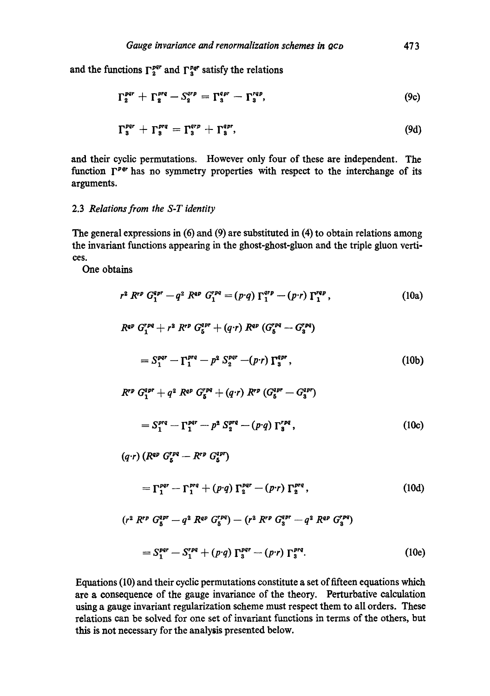and the functions  $\Gamma_2^{pqr}$  and  $\Gamma_3^{pqr}$  satisfy the relations

$$
\Gamma_2^{par} + \Gamma_2^{pra} - S_2^{arp} = \Gamma_3^{apr} - \Gamma_3^{rap}, \qquad (9c)
$$

$$
\Gamma_3^{pqr} + \Gamma_3^{prq} = \Gamma_3^{qrp} + \Gamma_3^{qpr}, \qquad (9d)
$$

and their cyclic permutations. However only four of these are independent. The function  $\Gamma^{pq}$  has no symmetry properties with respect to the interchange of its arguments.

# 2.3 *Relations from the S-T identity*

The general expressions in (6) and (9) are substituted in (4) to obtain relations among the invariant functions appearing in the ghost-ghost-gluon and the triple gluon vertices.

One obtains

$$
r^{2} R^{r p} G_{1}^{q p r} - q^{2} R^{q p} G_{1}^{r p q} = (p \cdot q) \Gamma_{1}^{q r p} - (p \cdot r) \Gamma_{1}^{r q p}, \qquad (10a)
$$
  
\n
$$
R^{q p} G_{1}^{r p q} + r^{3} R^{r p} G_{5}^{q p r} + (q \cdot r) R^{q p} (G_{5}^{r p q} - G_{3}^{r p q})
$$
  
\n
$$
= S_{1}^{p q r} - \Gamma_{1}^{p r q} - p^{2} S_{2}^{p q r} - (p \cdot r) \Gamma_{3}^{q p r}, \qquad (10b)
$$
  
\n
$$
R^{r p} G_{1}^{q p r} + q^{2} R^{q p} G_{5}^{r p q} + (q \cdot r) R^{r p} (G_{6}^{q p r} - G_{3}^{q p})
$$
  
\n
$$
= S_{1}^{p r q} - \Gamma_{1}^{p q r} - p^{2} S_{2}^{p r q} - (p \cdot q) \Gamma_{3}^{r p q}, \qquad (10c)
$$
  
\n
$$
(q \cdot r) (R^{q p} G_{5}^{r p q} - R^{r p} G_{5}^{q p})
$$
  
\n
$$
= \Gamma_{1}^{p q r} - \Gamma_{1}^{p r q} + (p \cdot q) \Gamma_{2}^{p q r} - (p \cdot r) \Gamma_{2}^{p r q}, \qquad (10d)
$$

$$
(r^{2} R^{rp} G_{5}^{apr} - q^{2} R^{qr} G_{5}^{rpq}) - (r^{2} R^{rp} G_{3}^{apr} - q^{2} R^{qr} G_{3}^{rpq})
$$
  
= 
$$
S_{1}^{par} - S_{1}^{rpq} + (p \cdot q) \Gamma_{3}^{pqr} - (p \cdot r) \Gamma_{3}^{prq}.
$$
 (10e)

Equations (I0) and their cyclic permutations constitute a set of fifteen equations which are a consequence of the gauge invariance of the theory. Perturbative calculation using a gauge invariant regularization scheme must respect them to all orders. These relations can be solved for one set of invariant functions in terms of the others, but this is not necessary for the analysis presented below.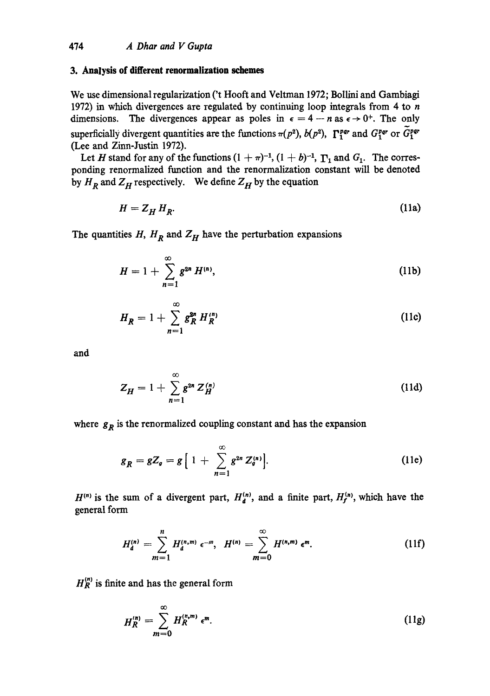## **3. Analysis of different renormalization schemes**

We use dimensional regularization ('t Hooft and Veltman 1972; Bollini and Gambiagi 1972) in which divergences are regulated by continuing loop integrals from 4 to  $n$ dimensions. The divergences appear as poles in  $\epsilon = 4 - n$  as  $\epsilon \rightarrow 0^+$ . The only superficially divergent quantities are the functions  $\pi(p^2)$ ,  $b(p^2)$ ,  $\Gamma_1^{par}$  and  $G_1^{par}$  or  $\tilde{G}_1^{par}$ (Lee and Zinn-Justin 1972).

Let H stand for any of the functions  $(1 + \pi)^{-1}$ ,  $(1 + b)^{-1}$ ,  $\Gamma_1$  and  $G_1$ . The corresponding renormalized function and the renormalization constant will be denoted by  $H_R$  and  $Z_H$  respectively. We define  $Z_H$  by the equation

$$
H = Z_H H_R. \tag{11a}
$$

The quantities  $H$ ,  $H_R$  and  $Z_H$  have the perturbation expansions

$$
H = 1 + \sum_{n=1}^{\infty} g^{2n} H^{(n)}, \qquad (11b)
$$

$$
H_R = 1 + \sum_{n=1}^{\infty} g_R^{2n} H_R^{(n)}
$$
 (11c)

and

$$
Z_H = 1 + \sum_{n=1}^{\infty} g^{2n} Z_H^{(n)}
$$
 (11d)

where  $g_R$  is the renormalized coupling constant and has the expansion

co.

$$
g_R = gZ_g = g \left[ 1 + \sum_{n=1}^{\infty} g^{2n} Z_g^{(n)} \right].
$$
 (11e)

 $H^{(n)}$  is the sum of a divergent part,  $H_A^{(n)}$ , and a finite part,  $H_f^{(n)}$ , which have the general form

$$
H_{d}^{(n)} = \sum_{m=1}^{n} H_{d}^{(n,m)} \epsilon^{-m}, \quad H^{(n)} = \sum_{m=0}^{\infty} H^{(n,m)} \epsilon^{m}.
$$
 (11f)

 $H_R^{(n)}$  is finite and has the general form

$$
H_R^{(n)} = \sum_{m=0}^{\infty} H_R^{(n,m)} \epsilon^m.
$$
 (11g)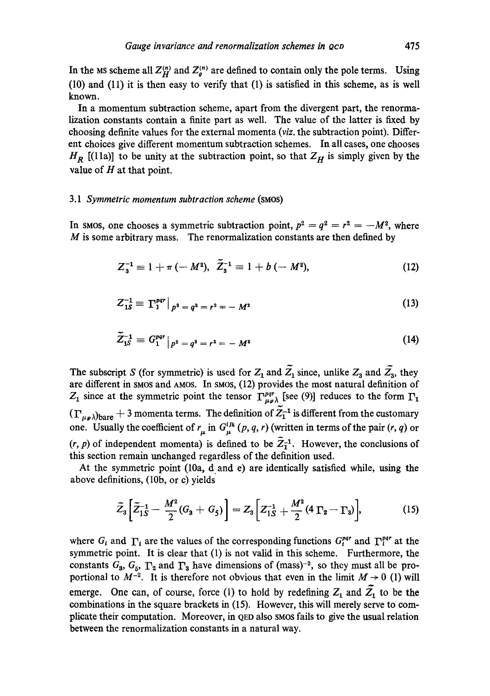In the MS scheme all  $Z_H^{(n)}$  and  $Z_a^{(n)}$  are defined to contain only the pole terms. Using (10) and (11) it is then easy to verify that (1) is satisfied in this scheme, as is well known.

In a momentum subtraction scheme, apart from the divergent part, the renormalization constants contain a finite part as well. The value of the latter is fixed by choosing definite values for the external momenta *(viz.* the subtraction point). Different choices give different momentum subtraction schemes. In all cases, one chooses  $H_R$  [(11a)] to be unity at the subtraction point, so that  $Z_H$  is simply given by the value of  $H$  at that point.

#### *3.1 Symmetric momentum subtraction scheme* (sMos)

In smos, one chooses a symmetric subtraction point,  $p^2 = q^2 = r^2 = -M^2$ , where  $M$  is some arbitrary mass. The renormalization constants are then defined by

$$
Z_3^{-1} \equiv 1 + \pi \, (-M^2), \quad \tilde{Z}_3^{-1} \equiv 1 + b \, (-M^2), \tag{12}
$$

$$
Z_{1S}^{-1} \equiv \left. \Gamma_1^{pqr} \right|_{p^2 = q^2 = r^2} = -M^2 \tag{13}
$$

$$
\tilde{Z}_{1S}^{-1} = G_1^{pqr} \big|_{p^2 = q^2 = r^2} = -M^2 \tag{14}
$$

The subscript S (for symmetric) is used for  $Z_1$  and  $\tilde{Z_1}$  since, unlike  $Z_3$  and  $\tilde{Z_3}$ , they are different in smos and AMOS. In smos, (12) provides the most natural definition of  $Z_1$  since at the symmetric point the tensor  $\Gamma_{\mu\nu}^{pqr}$  [see (9)] reduces to the form  $\Gamma_1$  $(\Gamma_{\mu\nu})_{\text{bare}} + 3$  momenta terms. The definition of  $\widetilde{Z}_1^{-1}$  is different from the customary one. Usually the coefficient of  $r_{\mu}$  in  $G^{ijk}_{\mu}$  (p, q, r) (written in terms of the pair (r, q) or  $(r, p)$  of independent momenta) is defined to be  $\overline{Z_1}^1$ . However, the conclusions of this section remain unchanged regardless of the definition used.

At the symmetric point (10a, d.and e) are identically satisfied while, using the above definitions, (10b, or c) yields

$$
\widetilde{Z}_3 \left[ \widetilde{Z}_{1S}^{-1} - \frac{M^2}{2} (G_3 + G_5) \right] = Z_3 \left[ Z_{1S}^{-1} + \frac{M^2}{2} (4 \Gamma_2 - \Gamma_3) \right], \tag{15}
$$

where  $G_i$  and  $\Gamma_i$  are the values of the corresponding functions  $G_i^{par}$  and  $\Gamma_i^{par}$  at the symmetric point. It is clear that (1) is not valid in this scheme. Furthermore, the constants  $G_3$ ,  $G_5$ ,  $\Gamma_2$  and  $\Gamma_3$  have dimensions of (mass)<sup>-2</sup>, so they must all be proportional to  $M^{-2}$ . It is therefore not obvious that even in the limit  $M \rightarrow 0$  (1) will emerge. One can, of course, force (1) to hold by redefining  $Z_1$  and  $\tilde{Z_1}$  to be the combinations in the square brackets in (15). However, this will merely serve to complicate their computation. Moreover, in QED also SMOS fails to give the usual relation between the renormalization constants in a natural way.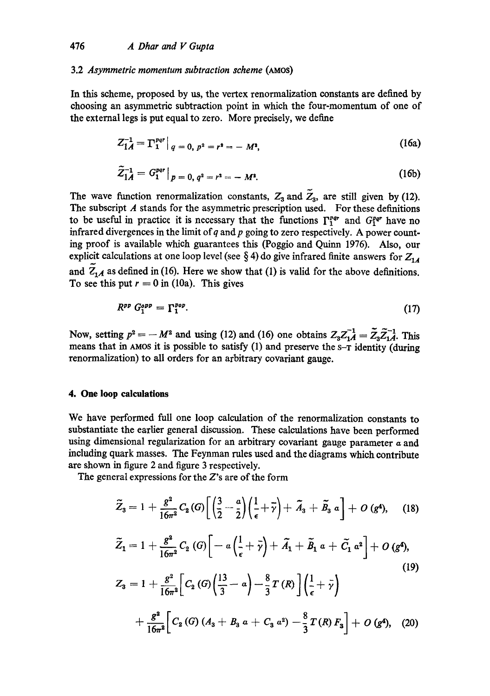### 3.2 *Asymmetric momentum subtraction scheme* (AMOS)

In this scheme, proposed by us, the vertex renormalization constants arc defined by choosing an asymmetric subtraction point in which the four-momentum of one of the external legs is put equal to zero. More precisely, we define

$$
Z_{1A}^{-1} = \Gamma_1^{pqr} \Big|_{q=0, p^2 = r^2} = -M^2,
$$
 (16a)

$$
\tilde{Z}_{1A}^{-1} = G_1^{par} \big|_{p=0, q^2 = r^2} = -M^2. \tag{16b}
$$

The wave function renormalization constants,  $Z_3$  and  $\tilde{Z}_3$ , are still given by (12). The subscript  $A$  stands for the asymmetric prescription used. For these definitions to be useful in practice it is necessary that the functions  $\Gamma_1^{pqr}$  and  $G_1^{pqr}$  have no infrared divergences in the limit of q and p going to zero respectively. A power counting proof is available which guarantees this (Poggio and Quinn 1976). Also, our explicit calculations at one loop level (see  $\S 4$ ) do give infrared finite answers for  $Z_{1A}$ and  $\overline{Z}_{1A}$  as defined in (16). Here we show that (1) is valid for the above definitions. To see this put  $r = 0$  in (10a). This gives

$$
R^{pp} G_1^{opp} = \Gamma_1^{pop}.\tag{17}
$$

Now, setting  $p^2 = -M^2$  and using (12) and (16) one obtains  $Z_3 Z_{1A}^{-1} = \tilde{Z}_3 \tilde{Z}_{1A}^{-1}$ . This means that in AMOS it is possible to satisfy  $(1)$  and preserve the  $s$ - $\overline{\textbf{r}}$  identity (during renormalization) to all orders for an arbitrary covariant gauge.

## **4. One loop calculations**

We have performed full one loop calculation of the renormalization constants to substantiate the earlier general discussion. These calculations have been performed using dimensional regularization for an arbitrary covariant gauge parameter  $\alpha$  and including quark masses. The Feynman rules used and the diagrams which contribute are shown in figure 2 and figure 3 respectively.

The general expressions for the Z's are of the form

$$
\widetilde{Z}_3 = 1 + \frac{g^2}{16\pi^2} C_2(G) \left[ \left( \frac{3}{2} - \frac{a}{2} \right) \left( \frac{1}{\epsilon} + \overline{\gamma} \right) + \widetilde{A}_3 + \widetilde{B}_3 \; a \right] + O \left( g^4 \right), \quad (18)
$$

$$
\widetilde{Z}_1 = 1 + \frac{g^2}{16\pi^2} C_2 \left( G \right) \left[ -a \left( \frac{1}{\epsilon} + \bar{\gamma} \right) + \tilde{A}_1 + \tilde{B}_1 a + \tilde{C}_1 a^2 \right] + O \left( g^4 \right),
$$
\n
$$
Z_3 = 1 + \frac{g^2}{16\pi^2} \left[ C_2 \left( G \right) \left( \frac{13}{3} - a \right) - \frac{8}{3} T \left( R \right) \right] \left( \frac{1}{\epsilon} + \bar{\gamma} \right)
$$
\n
$$
+ \frac{g^2}{16\pi^2} \left[ C_2 \left( G \right) \left( A_3 + B_3 a + C_3 a^2 \right) - \frac{8}{3} T \left( R \right) F_3 \right] + O \left( g^4 \right), \quad (20)
$$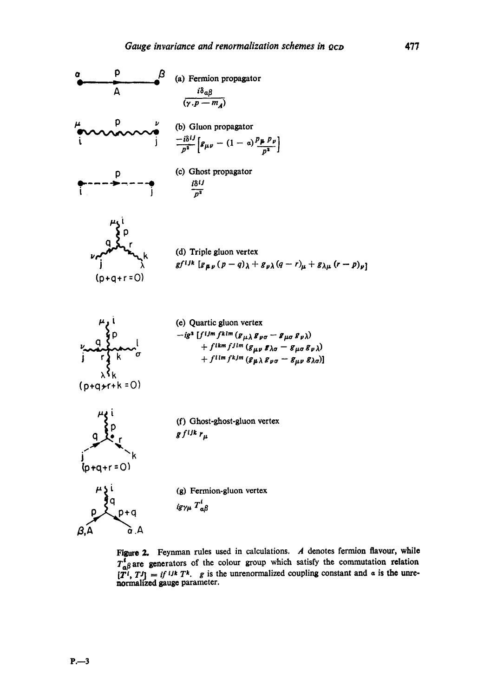

Figure 2. Feynman rules used in calculations.  $A$  denotes fermion flavour, while  $T_{\alpha\beta}^t$  are generators of the colour group which satisfy the commutation relation  $[\overline{T}^t, T^t] = i f^{t}$  is the unrenormalized coupling constant and  $\alpha$  is the unrenormahzed gauge parameter.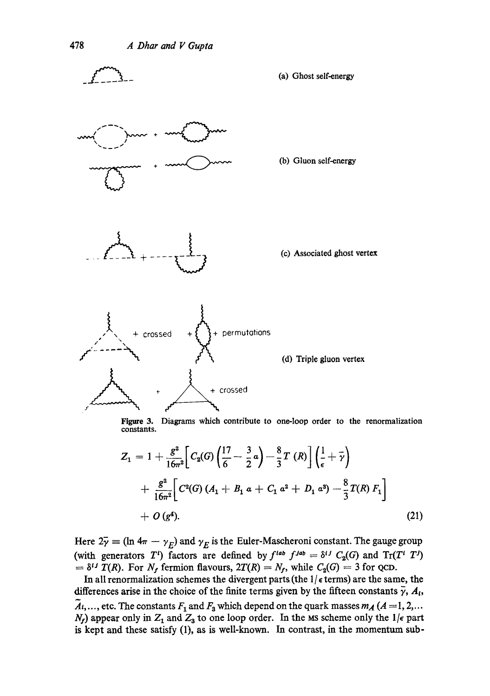

**Figure 3.**  Diagrams which contribute to one-loop order to the renormalization constants.

$$
Z_1 = 1 + \frac{g^2}{16\pi^2} \Bigg[ C_2(G) \left( \frac{17}{6} - \frac{3}{2} a \right) - \frac{8}{3} T (R) \Bigg] \left( \frac{1}{\epsilon} + \overline{\gamma} \right)
$$
  
+ 
$$
\frac{g^2}{16\pi^2} \Bigg[ C^2(G) (A_1 + B_1 a + C_1 a^2 + D_1 a^3) - \frac{8}{3} T(R) F_1 \Bigg]
$$
  
+ 
$$
O (g^4).
$$
 (21)

Here  $2\bar{\gamma} \equiv (\ln 4\pi - \gamma_E)$  and  $\gamma_E$  is the Euler-Mascheroni constant. The gauge group (with generators T<sup>i</sup>) factors are defined by  $f^{lab} f^{Jab} = \delta^{ij} C_2(G)$  and  $Tr(T^i T^j)$  $\mathcal{I} = \delta^{ij} \tilde{T}(R)$ . For  $N_f$  fermion flavours,  $2T(R) = N_f$ , while  $C_2(G) = 3$  for QCD.

In all renormalization schemes the divergent parts (the  $1/$   $\epsilon$  terms) are the same, the differences arise in the choice of the finite terms given by the fifteen constants  $\bar{\gamma}$ ,  $A_t$ ,  $A_1, \ldots$ , etc. The constants  $F_1$  and  $F_3$  which depend on the quark masses  $m_A$  ( $A = 1, 2, \ldots$  $N_f$ ) appear only in  $Z_1$  and  $Z_3$  to one loop order. In the MS scheme only the 1/ $\epsilon$  part is kept and these satisfy (1), as is well-known. In contrast, in the momentum sub-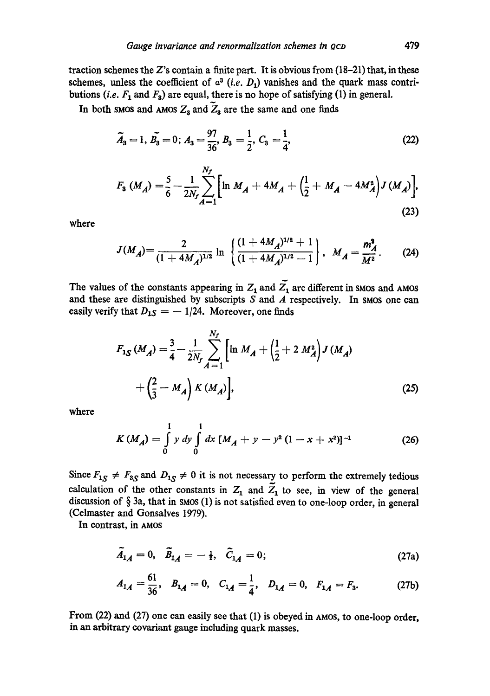traction schemes the Z's contain a finite part. It is obvious from  $(18-21)$  that, in these schemes, unless the coefficient of  $a^3$  *(i.e. D<sub>1</sub>)* vanishes and the quark mass contributions (*i.e.*  $F_1$  and  $F_3$ ) are equal, there is no hope of satisfying (1) in general.

In both smos and AMOS  $Z_3$  and  $\tilde{Z}_3$  are the same and one finds

$$
\widetilde{A}_3 = 1, \, \widetilde{B_3} = 0; \, A_3 = \frac{97}{36}, \, B_3 = \frac{1}{2}, \, C_3 = \frac{1}{4}, \tag{22}
$$

$$
F_3 \ (M_A) = \frac{5}{6} - \frac{1}{2N_f} \sum_{A=1}^{N_f} \left[ \ln M_A + 4M_A + \left( \frac{1}{2} + M_A - 4M_A^2 \right) J \left( M_A \right) \right],
$$
\n(23)

where

$$
J(M_A) = \frac{2}{(1+4M_A)^{1/2}} \ln \left\{ \frac{(1+4M_A)^{1/2}+1}{(1+4M_A)^{1/2}-1} \right\}, \ M_A = \frac{m_A^2}{M^2}.
$$
 (24)

The values of the constants appearing in  $Z_1$  and  $Z_1$  are different in SMOS and AMOS and these are distinguished by subscripts S and A respectively. In SMOS one can easily verify that  $D_{1S} = -1/24$ . Moreover, one finds

$$
F_{1S}(M_A) = \frac{3}{4} - \frac{1}{2N_f} \sum_{A=1}^{N_f} \left[ \ln M_A + \left( \frac{1}{2} + 2 M_A^2 \right) J(M_A) + \left( \frac{2}{3} - M_A \right) K(M_A) \right],
$$
\n(25)

where

$$
K(M_A) = \int_{0}^{1} y \, dy \int_{0}^{1} dx \, [M_A + y - y^2 (1 - x + x^2)]^{-1}
$$
 (26)

Since  $F_{1S} \neq F_{3S}$  and  $D_{1S} \neq 0$  it is not necessary to perform the extremely tedious calculation of the other constants in  $Z_1$  and  $\overline{Z}_1$  to see, in view of the general discussion of  $\S$  3a, that in smos (1) is not satisfied even to one-loop order, in general (Celmaster and Gonsalves 1979).

In contrast, in AMOS

$$
\tilde{A}_{1A} = 0, \quad \tilde{B}_{1A} = -\frac{1}{2}, \quad \tilde{C}_{1A} = 0;
$$
\n(27a)

$$
A_{1A} = \frac{61}{36}, \quad B_{1A} = 0, \quad C_{1A} = \frac{1}{4}, \quad D_{1A} = 0, \quad F_{1A} = F_3. \tag{27b}
$$

From (22) and (2T) one can easily see that (1) is obeyed in AMOS, to one-loop order, in an arbitrary covariant gauge including quark masses.